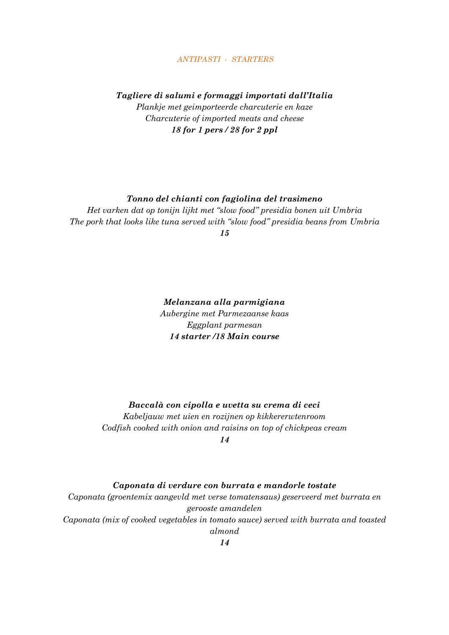### *ANTIPASTI - STARTERS*

### *Tagliere di salumi e formaggi importati dall'Italia*

*Plankje met geimporteerde charcuterie en kaze Charcuterie of imported meats and cheese 18 for 1 pers / 28 for 2 ppl*

### *Tonno del chianti con fagiolina del trasimeno*

*Het varken dat op tonijn lijkt met "slow food" presidia bonen uit Umbria The pork that looks like tuna served with "slow food" presidia beans from Umbria*

*15*

*Melanzana alla parmigiana Aubergine met Parmezaanse kaas Eggplant parmesan 14 starter /18 Main course*

# *Baccalà con cipolla e uvetta su crema di ceci*

*Kabeljauw met uien en rozijnen op kikkererwtenroom Codfish cooked with onion and raisins on top of chickpeas cream 14*

## *Caponata di verdure con burrata e mandorle tostate*

*Caponata (groentemix aangevld met verse tomatensaus) geserveerd met burrata en gerooste amandelen Caponata (mix of cooked vegetables in tomato sauce) served with burrata and toasted almond*

*14*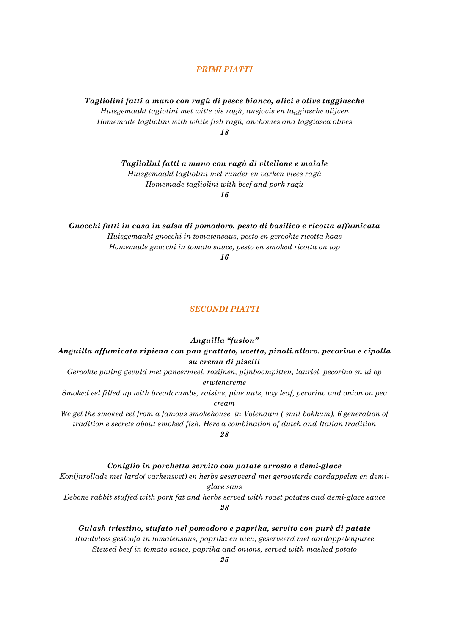#### *PRIMI PIATTI*

*Tagliolini fatti a mano con ragù di pesce bianco, alici e olive taggiasche Huisgemaakt tagiolini met witte vis ragù, ansjovis en taggiasche olijven Homemade tagliolini with white fish ragù, anchovies and taggiasca olives 18*

*Tagliolini fatti a mano con ragù di vitellone e maiale*

*Huisgemaakt tagliolini met runder en varken vlees ragù Homemade tagliolini with beef and pork ragù*

*16*

*Gnocchi fatti in casa in salsa di pomodoro, pesto di basilico e ricotta affumicata Huisgemaakt gnocchi in tomatensaus, pesto en gerookte ricotta kaas Homemade gnocchi in tomato sauce, pesto en smoked ricotta on top*

*16*

#### *SECONDI PIATTI*

*Anguilla "fusion"* 

*Anguilla affumicata ripiena con pan grattato, uvetta, pinoli.alloro. pecorino e cipolla su crema di piselli*

*Gerookte paling gevuld met paneermeel, rozijnen, pijnboompitten, lauriel, pecorino en ui op erwtencreme*

*Smoked eel filled up with breadcrumbs, raisins, pine nuts, bay leaf, pecorino and onion on pea cream*

*We get the smoked eel from a famous smokehouse in Volendam ( smit bokkum), 6 generation of tradition e secrets about smoked fish. Here a combination of dutch and Italian tradition*

*28*

*Coniglio in porchetta servito con patate arrosto e demi-glace*

*Konijnrollade met lardo( varkensvet) en herbs geserveerd met geroosterde aardappelen en demiglace saus*

*Debone rabbit stuffed with pork fat and herbs served with roast potates and demi-glace sauce 28*

*Gulash triestino, stufato nel pomodoro e paprika, servito con purè di patate Rundvlees gestoofd in tomatensaus, paprika en uien, geserveerd met aardappelenpuree Stewed beef in tomato sauce, paprika and onions, served with mashed potato*